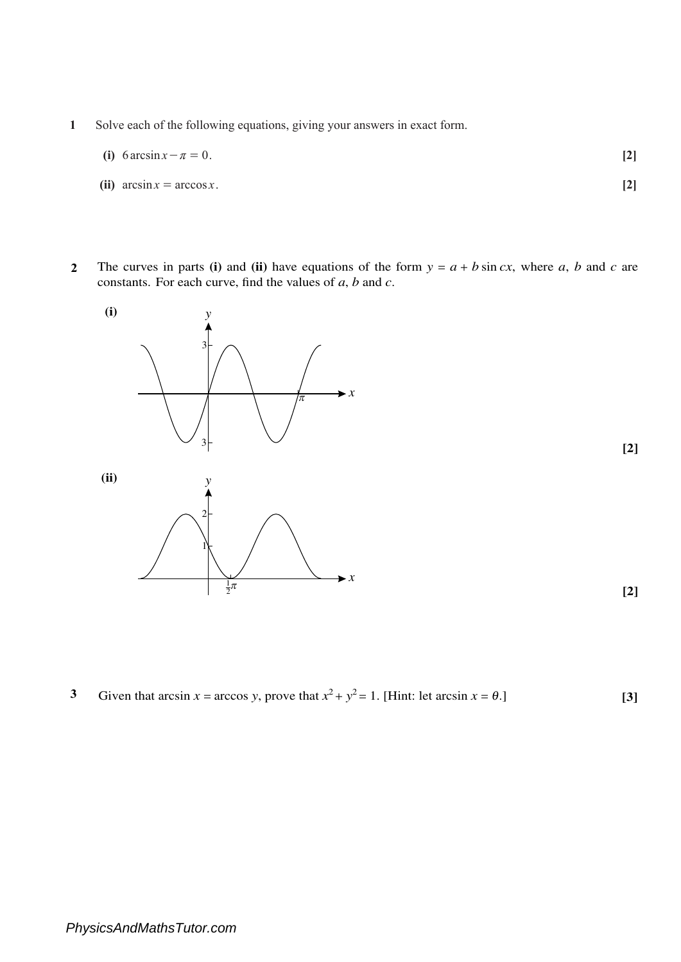- **1** Solve each of the following equations, giving your answers in exact form.
	- **(i)** 6  $\arcsin x \pi = 0$ . [2]
	- (ii)  $\arcsin x = \arccos x$ . [2]
- **2** The curves in parts **(i)** and **(ii)** have equations of the form  $y = a + b \sin cx$ , where *a*, *b* and *c* are constants. For each curve, find the values of *a*, *b* and *c*.



3 Given that arcsin 
$$
x = \arccos y
$$
, prove that  $x^2 + y^2 = 1$ . [Hint: let arcsin  $x = \theta$ .] [3]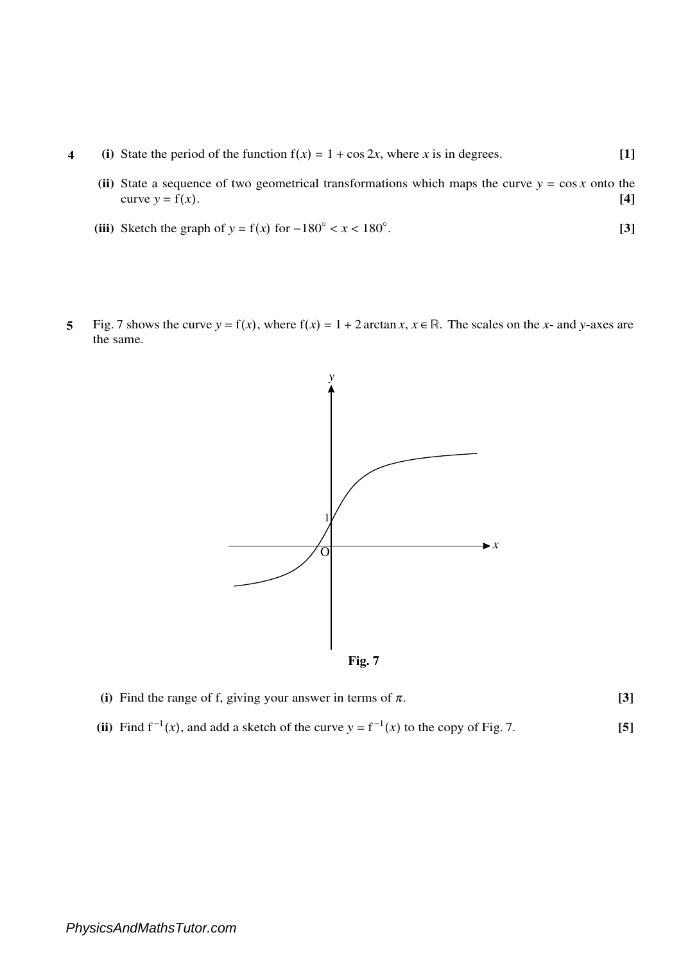- **4 (i)** State the period of the function  $f(x) = 1 + \cos 2x$ , where *x* is in degrees. **[1]** 
	- (ii) State a sequence of two geometrical transformations which maps the curve  $y = \cos x$  onto the curve  $y = f(x)$ . **[4]**
	- (iii) Sketch the graph of  $y = f(x)$  for  $-180^\circ < x < 180^\circ$ . . **[3]**
- **5** Fig. 7 shows the curve  $y = f(x)$ , where  $f(x) = 1 + 2 \arctan x$ ,  $x \in \mathbb{R}$ . The scales on the *x* and *y*-axes are the same.





| (i) Find the range of f, giving your answer in terms of $\pi$ . |  |
|-----------------------------------------------------------------|--|
|                                                                 |  |

(ii) Find  $f^{-1}(x)$ , and add a sketch of the curve  $y = f^{-1}(x)$  to the copy of Fig. 7. **[5]**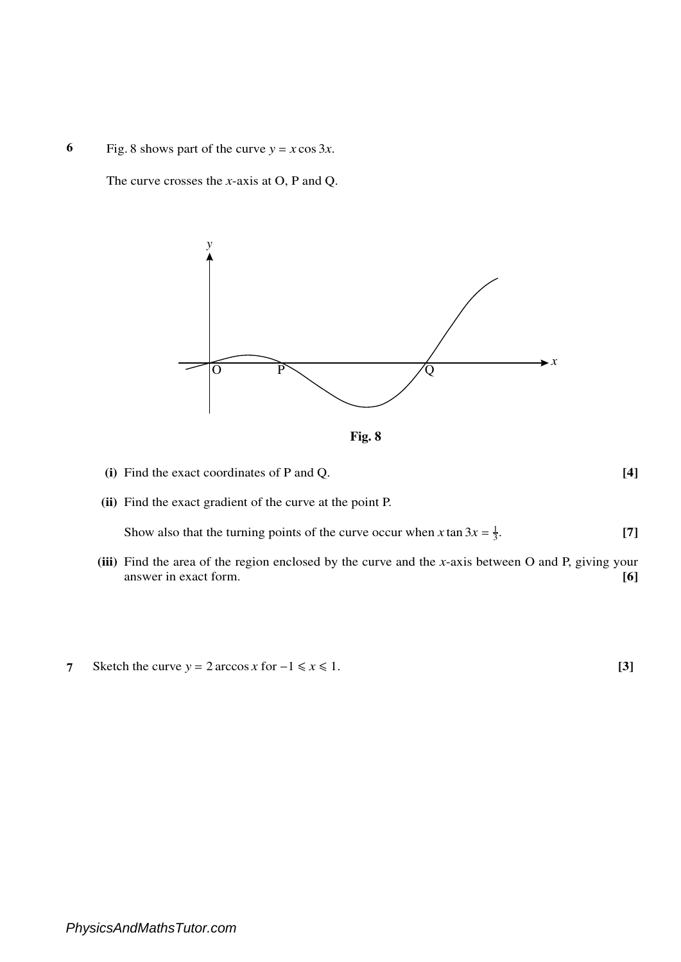**6** Fig. 8 shows part of the curve  $y = x \cos 3x$ .

The curve crosses the *x*-axis at O, P and Q.





- **(i)** Find the exact coordinates of P and Q. **[4]**
- **(ii)** Find the exact gradient of the curve at the point P.

Show also that the turning points of the curve occur when *x* tan  $3x = \frac{1}{3}$ . **[7]**

- **(iii)** Find the area of the region enclosed by the curve and the *x*-axis between O and P, giving your answer in exact form. **[6]**
- **7** Sketch the curve  $y = 2 \arccos x$  for  $-1 \le x \le 1$ . **[3]**